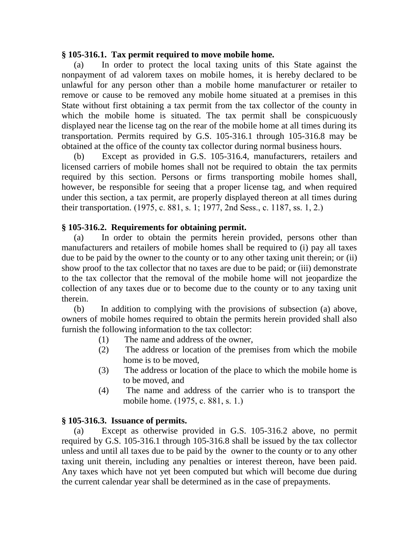## **§ 105-316.1. Tax permit required to move mobile home.**

(a) In order to protect the local taxing units of this State against the nonpayment of ad valorem taxes on mobile homes, it is hereby declared to be unlawful for any person other than a mobile home manufacturer or retailer to remove or cause to be removed any mobile home situated at a premises in this State without first obtaining a tax permit from the tax collector of the county in which the mobile home is situated. The tax permit shall be conspicuously displayed near the license tag on the rear of the mobile home at all times during its transportation. Permits required by G.S. 105-316.1 through 105-316.8 may be obtained at the office of the county tax collector during normal business hours.

(b) Except as provided in G.S. 105-316.4, manufacturers, retailers and licensed carriers of mobile homes shall not be required to obtain the tax permits required by this section. Persons or firms transporting mobile homes shall, however, be responsible for seeing that a proper license tag, and when required under this section, a tax permit, are properly displayed thereon at all times during their transportation. (1975, c. 881, s. 1; 1977, 2nd Sess., c. 1187, ss. 1, 2.)

# **§ 105-316.2. Requirements for obtaining permit.**

(a) In order to obtain the permits herein provided, persons other than manufacturers and retailers of mobile homes shall be required to (i) pay all taxes due to be paid by the owner to the county or to any other taxing unit therein; or (ii) show proof to the tax collector that no taxes are due to be paid; or (iii) demonstrate to the tax collector that the removal of the mobile home will not jeopardize the collection of any taxes due or to become due to the county or to any taxing unit therein.

(b) In addition to complying with the provisions of subsection (a) above, owners of mobile homes required to obtain the permits herein provided shall also furnish the following information to the tax collector:

- (1) The name and address of the owner,
- (2) The address or location of the premises from which the mobile home is to be moved,
- (3) The address or location of the place to which the mobile home is to be moved, and
- (4) The name and address of the carrier who is to transport the mobile home. (1975, c. 881, s. 1.)

# **§ 105-316.3. Issuance of permits.**

(a) Except as otherwise provided in G.S. 105-316.2 above, no permit required by G.S. 105-316.1 through 105-316.8 shall be issued by the tax collector unless and until all taxes due to be paid by the owner to the county or to any other taxing unit therein, including any penalties or interest thereon, have been paid. Any taxes which have not yet been computed but which will become due during the current calendar year shall be determined as in the case of prepayments.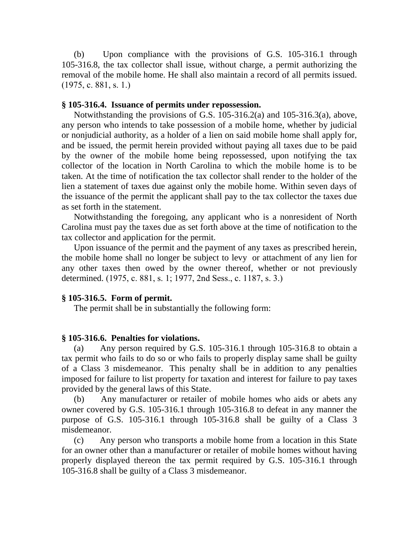(b) Upon compliance with the provisions of G.S. 105-316.1 through 105-316.8, the tax collector shall issue, without charge, a permit authorizing the removal of the mobile home. He shall also maintain a record of all permits issued. (1975, c. 881, s. 1.)

#### **§ 105-316.4. Issuance of permits under repossession.**

Notwithstanding the provisions of G.S. 105-316.2(a) and 105-316.3(a), above, any person who intends to take possession of a mobile home, whether by judicial or nonjudicial authority, as a holder of a lien on said mobile home shall apply for, and be issued, the permit herein provided without paying all taxes due to be paid by the owner of the mobile home being repossessed, upon notifying the tax collector of the location in North Carolina to which the mobile home is to be taken. At the time of notification the tax collector shall render to the holder of the lien a statement of taxes due against only the mobile home. Within seven days of the issuance of the permit the applicant shall pay to the tax collector the taxes due as set forth in the statement.

Notwithstanding the foregoing, any applicant who is a nonresident of North Carolina must pay the taxes due as set forth above at the time of notification to the tax collector and application for the permit.

Upon issuance of the permit and the payment of any taxes as prescribed herein, the mobile home shall no longer be subject to levy or attachment of any lien for any other taxes then owed by the owner thereof, whether or not previously determined. (1975, c. 881, s. 1; 1977, 2nd Sess., c. 1187, s. 3.)

### **§ 105-316.5. Form of permit.**

The permit shall be in substantially the following form:

### **§ 105-316.6. Penalties for violations.**

(a) Any person required by G.S. 105-316.1 through 105-316.8 to obtain a tax permit who fails to do so or who fails to properly display same shall be guilty of a Class 3 misdemeanor. This penalty shall be in addition to any penalties imposed for failure to list property for taxation and interest for failure to pay taxes provided by the general laws of this State.

(b) Any manufacturer or retailer of mobile homes who aids or abets any owner covered by G.S. 105-316.1 through 105-316.8 to defeat in any manner the purpose of G.S. 105-316.1 through 105-316.8 shall be guilty of a Class 3 misdemeanor.

(c) Any person who transports a mobile home from a location in this State for an owner other than a manufacturer or retailer of mobile homes without having properly displayed thereon the tax permit required by G.S. 105-316.1 through 105-316.8 shall be guilty of a Class 3 misdemeanor.